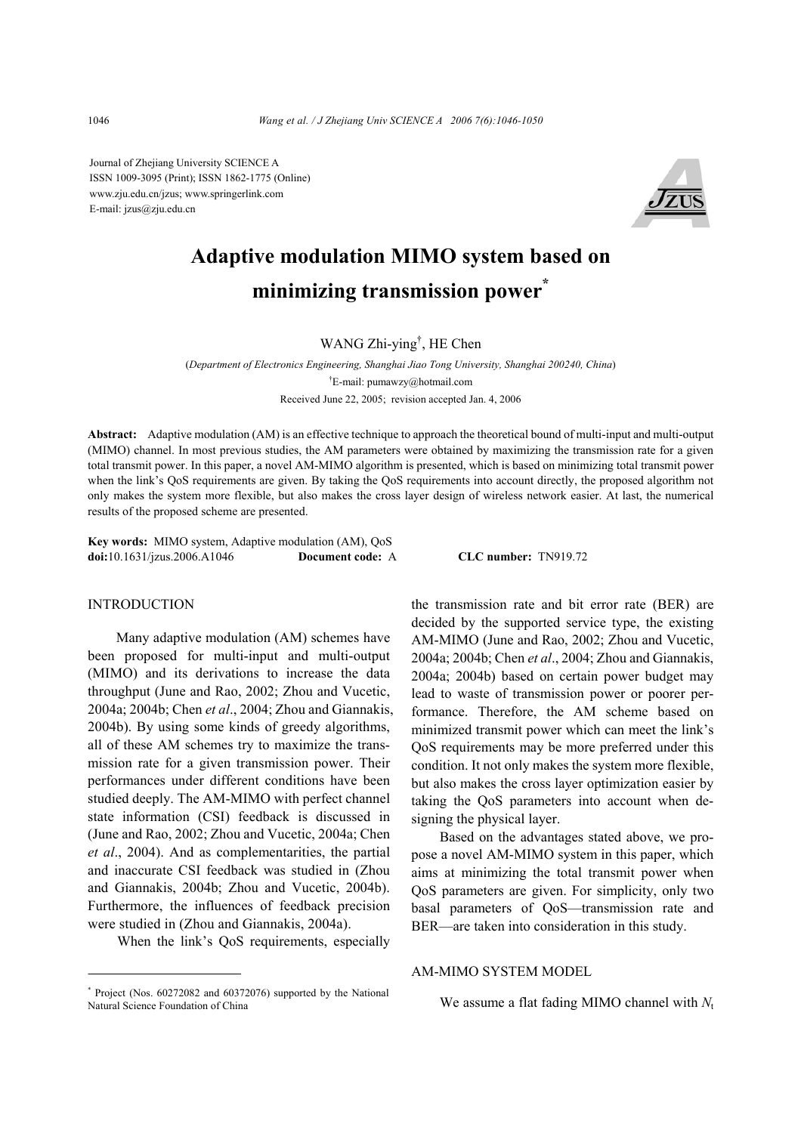Journal of Zhejiang University SCIENCE A ISSN 1009-3095 (Print); ISSN 1862-1775 (Online) www.zju.edu.cn/jzus; www.springerlink.com E-mail: jzus@zju.edu.cn



# **Adaptive modulation MIMO system based on minimizing transmission power\***

WANG Zhi-ying† , HE Chen

(*Department of Electronics Engineering, Shanghai Jiao Tong University, Shanghai 200240, China*) † E-mail: pumawzy@hotmail.com Received June 22, 2005; revision accepted Jan. 4, 2006

**Abstract:** Adaptive modulation (AM) is an effective technique to approach the theoretical bound of multi-input and multi-output (MIMO) channel. In most previous studies, the AM parameters were obtained by maximizing the transmission rate for a given total transmit power. In this paper, a novel AM-MIMO algorithm is presented, which is based on minimizing total transmit power when the link's QoS requirements are given. By taking the QoS requirements into account directly, the proposed algorithm not only makes the system more flexible, but also makes the cross layer design of wireless network easier. At last, the numerical results of the proposed scheme are presented.

**Key words:** MIMO system, Adaptive modulation (AM), QoS **doi:**10.1631/jzus.2006.A1046 **Document code:** A **CLC number:** TN919.72

## INTRODUCTION

Many adaptive modulation (AM) schemes have been proposed for multi-input and multi-output (MIMO) and its derivations to increase the data throughput (June and Rao, 2002; Zhou and Vucetic, 2004a; 2004b; Chen *et al*., 2004; Zhou and Giannakis, 2004b). By using some kinds of greedy algorithms, all of these AM schemes try to maximize the transmission rate for a given transmission power. Their performances under different conditions have been studied deeply. The AM-MIMO with perfect channel state information (CSI) feedback is discussed in (June and Rao, 2002; Zhou and Vucetic, 2004a; Chen *et al*., 2004). And as complementarities, the partial and inaccurate CSI feedback was studied in (Zhou and Giannakis, 2004b; Zhou and Vucetic, 2004b). Furthermore, the influences of feedback precision were studied in (Zhou and Giannakis, 2004a).

When the link's QoS requirements, especially

the transmission rate and bit error rate (BER) are decided by the supported service type, the existing AM-MIMO (June and Rao, 2002; Zhou and Vucetic, 2004a; 2004b; Chen *et al*., 2004; Zhou and Giannakis, 2004a; 2004b) based on certain power budget may lead to waste of transmission power or poorer performance. Therefore, the AM scheme based on minimized transmit power which can meet the link's QoS requirements may be more preferred under this condition. It not only makes the system more flexible, but also makes the cross layer optimization easier by taking the QoS parameters into account when designing the physical layer.

Based on the advantages stated above, we propose a novel AM-MIMO system in this paper, which aims at minimizing the total transmit power when QoS parameters are given. For simplicity, only two basal parameters of QoS—transmission rate and BER—are taken into consideration in this study.

## AM-MIMO SYSTEM MODEL

We assume a flat fading MIMO channel with *N*<sup>t</sup>

<sup>\*</sup> Project (Nos. 60272082 and 60372076) supported by the National Natural Science Foundation of China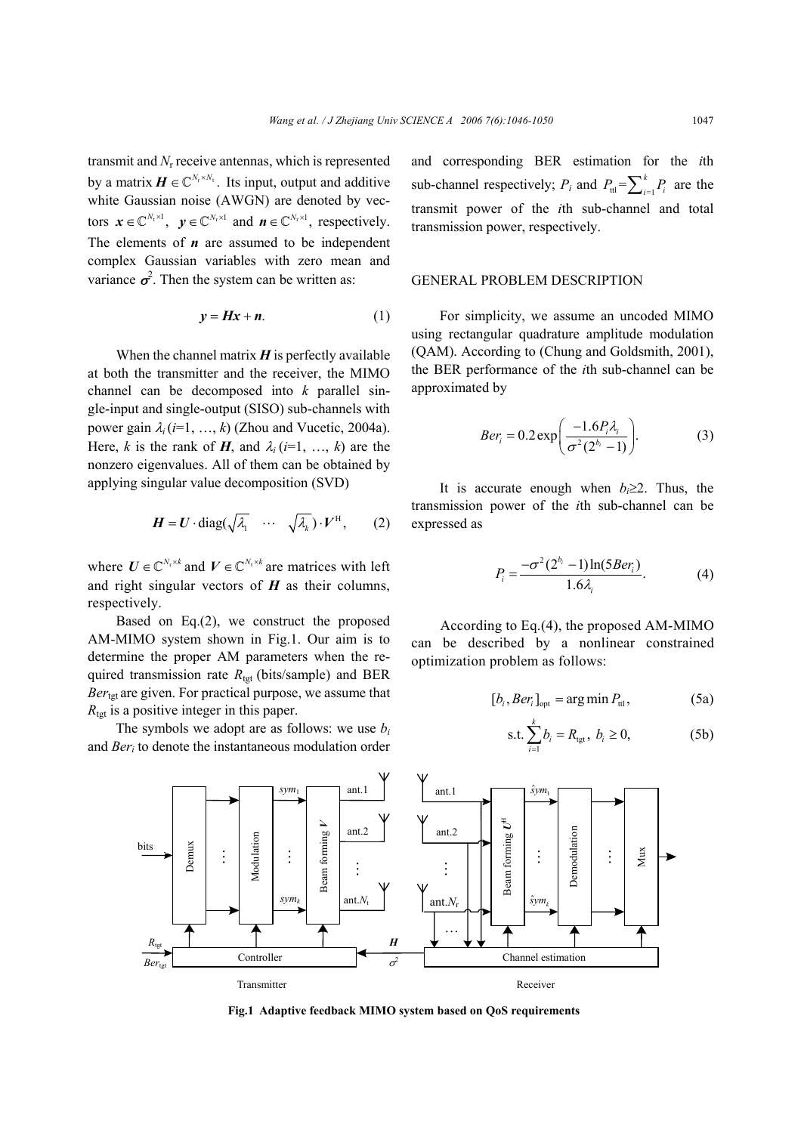transmit and *N*r receive antennas, which is represented by a matrix  $\boldsymbol{H} \in \mathbb{C}^{N_r \times N_t}$ . Its input, output and additive white Gaussian noise (AWGN) are denoted by vectors  $\mathbf{x} \in \mathbb{C}^{N_t \times 1}$ ,  $\mathbf{y} \in \mathbb{C}^{N_r \times 1}$  and  $\mathbf{n} \in \mathbb{C}^{N_r \times 1}$ , respectively. The elements of *n* are assumed to be independent complex Gaussian variables with zero mean and variance  $\sigma^2$ . Then the system can be written as:

$$
y = Hx + n. \tag{1}
$$

When the channel matrix  $H$  is perfectly available at both the transmitter and the receiver, the MIMO channel can be decomposed into *k* parallel single-input and single-output (SISO) sub-channels with power gain  $\lambda_i$  ( $i=1, ..., k$ ) (Zhou and Vucetic, 2004a). Here, *k* is the rank of *H*, and  $\lambda_i$  (*i*=1, ..., *k*) are the nonzero eigenvalues. All of them can be obtained by applying singular value decomposition (SVD)

$$
\boldsymbol{H} = \boldsymbol{U} \cdot \text{diag}(\sqrt{\lambda_1} \quad \cdots \quad \sqrt{\lambda_k}) \cdot \boldsymbol{V}^{\text{H}}, \qquad (2)
$$

where  $U \in \mathbb{C}^{N_r \times k}$  and  $V \in \mathbb{C}^{N_t \times k}$  are matrices with left and right singular vectors of  $H$  as their columns, respectively.

Based on Eq.(2), we construct the proposed AM-MIMO system shown in Fig.1. Our aim is to determine the proper AM parameters when the required transmission rate  $R_{\text{tet}}$  (bits/sample) and BER *Ber*tgt are given. For practical purpose, we assume that  $R_{\text{tgt}}$  is a positive integer in this paper.

The symbols we adopt are as follows: we use *bi* and *Beri* to denote the instantaneous modulation order and corresponding BER estimation for the *i*th sub-channel respectively;  $P_i$  and  $P_{\text{tl}} = \sum_{i=1}^{k} P_i$  are the transmit power of the *i*th sub-channel and total transmission power, respectively.

## GENERAL PROBLEM DESCRIPTION

For simplicity, we assume an uncoded MIMO using rectangular quadrature amplitude modulation (QAM). According to (Chung and Goldsmith, 2001), the BER performance of the *i*th sub-channel can be approximated by

$$
Ber_i = 0.2 \exp\left(\frac{-1.6P_i \lambda_i}{\sigma^2 (2^{b_i} - 1)}\right).
$$
 (3)

It is accurate enough when  $b_i \geq 2$ . Thus, the transmission power of the *i*th sub-channel can be expressed as

$$
P_i = \frac{-\sigma^2 (2^{b_i} - 1) \ln(5Ber_i)}{1.6\lambda_i}.
$$
 (4)

According to Eq.(4), the proposed AM-MIMO can be described by a nonlinear constrained optimization problem as follows:

$$
[b_i, Ber_i]_{opt} = \arg\min P_{\text{ttl}},
$$
 (5a)

s.t. 
$$
\sum_{i=1}^{k} b_i = R_{\text{tgt}}, b_i \ge 0,
$$
 (5b)



**Fig.1 Adaptive feedback MIMO system based on QoS requirements**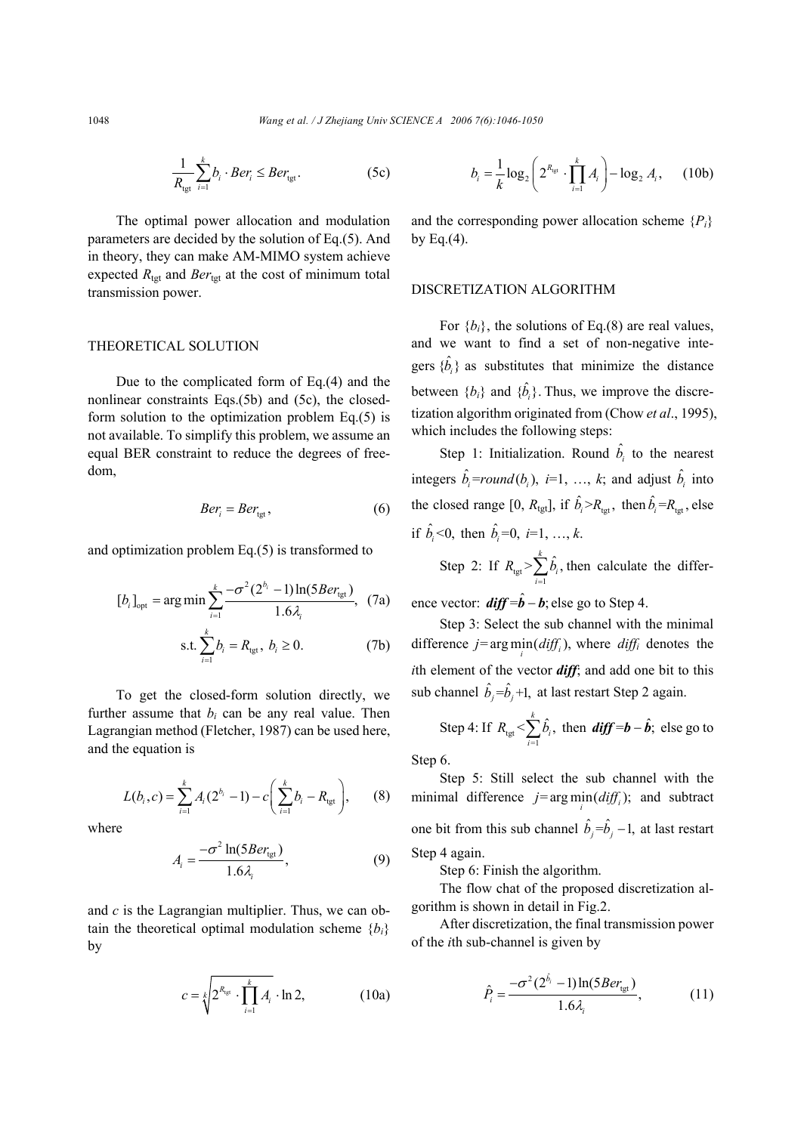$$
\frac{1}{R_{\text{tgt}}} \sum_{i=1}^{k} b_i \cdot Ber_i \le Ber_{\text{tgt}}.\tag{5c}
$$

The optimal power allocation and modulation parameters are decided by the solution of Eq.(5). And in theory, they can make AM-MIMO system achieve expected  $R_{\text{tgt}}$  and  $Ber_{\text{tgt}}$  at the cost of minimum total transmission power.

## THEORETICAL SOLUTION

Due to the complicated form of Eq.(4) and the nonlinear constraints Eqs.(5b) and (5c), the closedform solution to the optimization problem Eq.(5) is not available. To simplify this problem, we assume an equal BER constraint to reduce the degrees of freedom,

$$
Ber_i = Ber_{\text{tgt}},\tag{6}
$$

and optimization problem Eq.(5) is transformed to

$$
[b_{i}]_{\text{opt}} = \arg\min \sum_{i=1}^{k} \frac{-\sigma^{2} (2^{b_{i}} - 1) \ln(5Ber_{\text{tgt}})}{1.6\lambda_{i}}, \quad (7a)
$$
  
s.t. 
$$
\sum_{i=1}^{k} b_{i} = R_{\text{tgt}}, \ b_{i} \ge 0. \quad (7b)
$$

To get the closed-form solution directly, we further assume that  $b_i$  can be any real value. Then Lagrangian method (Fletcher, 1987) can be used here, and the equation is

$$
L(b_i, c) = \sum_{i=1}^k A_i (2^{b_i} - 1) - c \left( \sum_{i=1}^k b_i - R_{\text{tgt}} \right), \qquad (8)
$$

where

$$
A_i = \frac{-\sigma^2 \ln(5Ber_{\text{tgt}})}{1.6\lambda_i},\tag{9}
$$

and *c* is the Lagrangian multiplier. Thus, we can obtain the theoretical optimal modulation scheme  ${b_i}$ by

$$
c = \sqrt[k]{2^{R_{\text{tgt}}}} \cdot \prod_{i=1}^{k} A_i \cdot \ln 2, \tag{10a}
$$

$$
b_i = \frac{1}{k} \log_2 \left( 2^{R_{\text{tgt}}} \cdot \prod_{i=1}^k A_i \right) - \log_2 A_i, \quad (10b)
$$

and the corresponding power allocation scheme  $\{P_i\}$ by Eq. $(4)$ .

#### DISCRETIZATION ALGORITHM

For  ${b_i}$ , the solutions of Eq.(8) are real values, and we want to find a set of non-negative integers  $\{\hat{b}_i\}$  as substitutes that minimize the distance between  ${b_i}$  and  ${\hat{b_i}}$ . Thus, we improve the discretization algorithm originated from (Chow *et al*., 1995), which includes the following steps:

Step 1: Initialization. Round  $\hat{b}_i$  to the nearest integers  $\hat{b}_i$ =round( $b_i$ ), *i*=1, ..., *k*; and adjust  $\hat{b}_i$  into the closed range [0,  $R_{\text{tgt}}$ ], if  $\hat{b}_i > R_{\text{tet}}$ , then  $\hat{b}_i = R_{\text{tet}}$ , else if  $\hat{b}_i < 0$ , then  $\hat{b}_i = 0$ ,  $i = 1, ..., k$ .

Step 2: If  $R_{\text{tgt}} > \sum_{i=1}^{n}$  $>\sum_{i=1}^{k} \hat{b}_{i}$  $\sum_{i=1}^{n}$  $R_{\text{tot}}$ > $\sum b$  $\sum_{i=1}^{n} \hat{b}_{i}$ , then calculate the differ-

ence vector:  $\mathbf{diff} = \hat{\mathbf{b}} - \mathbf{b}$ ; else go to Step 4.

Step 3: Select the sub channel with the minimal difference  $j = \arg \min_i (diff_i)$ , where  $diff_i$  denotes the *i*th element of the vector *diff*; and add one bit to this sub channel  $\hat{b}_j = \hat{b}_j + 1$ , at last restart Step 2 again.

Step 4: If 
$$
R_{\text{tgt}} < \sum_{i=1}^{k} \hat{b}_i
$$
, then ***diff***=***b*** - ***b***, else go to

Step 6.

Step 5: Still select the sub channel with the minimal difference  $j = \arg \min_i (diff_i)$ ; and subtract one bit from this sub channel  $\hat{b}_i = \hat{b}_i - 1$ , at last restart Step 4 again.

Step 6: Finish the algorithm.

The flow chat of the proposed discretization algorithm is shown in detail in Fig.2.

After discretization, the final transmission power of the *i*th sub-channel is given by

$$
\hat{P}_i = \frac{-\sigma^2 (2^{\hat{b}_i} - 1) \ln(5Ber_{\text{tgt}})}{1.6\lambda_i},\tag{11}
$$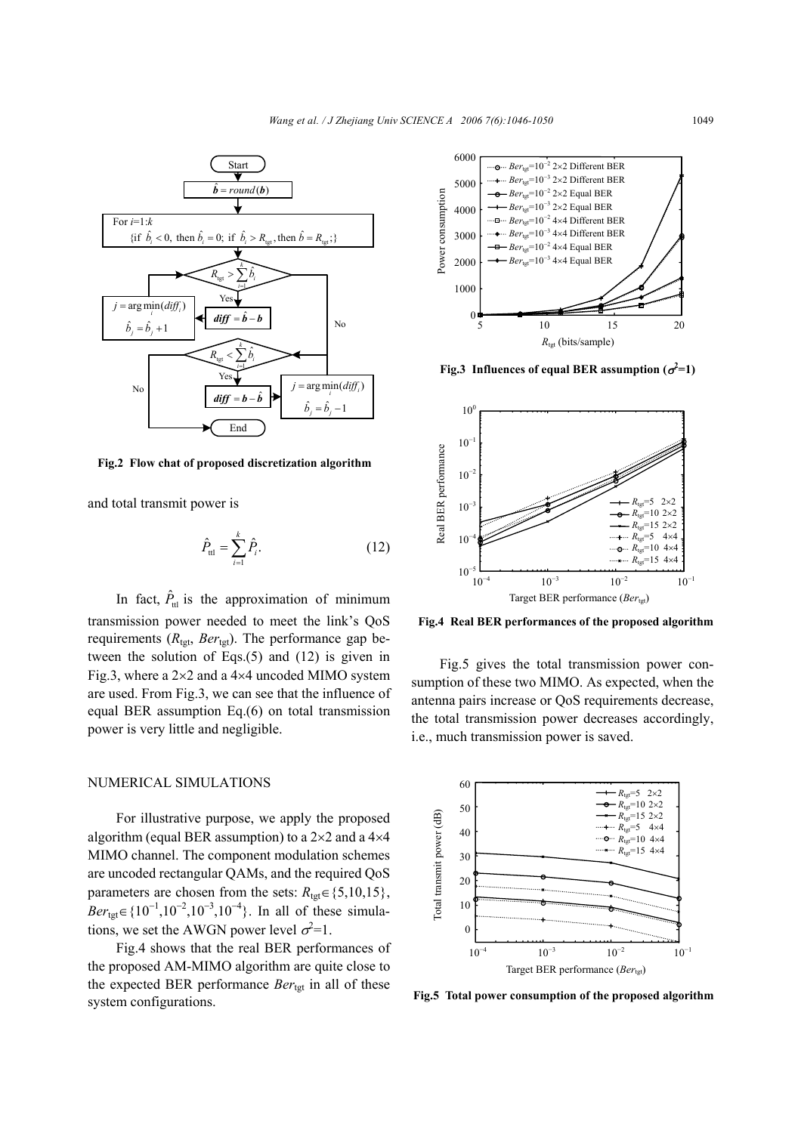

**Fig.2 Flow chat of proposed discretization algorithm**

and total transmit power is

$$
\hat{P}_{\text{tl}} = \sum_{i=1}^{k} \hat{P}_{i}.
$$
 (12)

In fact,  $\hat{P}_{\text{H}}$  is the approximation of minimum transmission power needed to meet the link's QoS requirements  $(R_{\text{tgt}}, Ber_{\text{tgt}})$ . The performance gap between the solution of Eqs.(5) and (12) is given in Fig.3, where a  $2\times2$  and a  $4\times4$  uncoded MIMO system are used. From Fig.3, we can see that the influence of equal BER assumption Eq.(6) on total transmission power is very little and negligible.

## NUMERICAL SIMULATIONS

For illustrative purpose, we apply the proposed algorithm (equal BER assumption) to a  $2\times 2$  and a  $4\times 4$ MIMO channel. The component modulation schemes are uncoded rectangular QAMs, and the required QoS parameters are chosen from the sets:  $R_{\text{tgt}} \in \{5, 10, 15\}$ ,  $Ber_{\text{tgt}} \in \{10^{-1}, 10^{-2}, 10^{-3}, 10^{-4}\}.$  In all of these simulations, we set the AWGN power level  $\sigma^2 = 1$ .

Fig.4 shows that the real BER performances of the proposed AM-MIMO algorithm are quite close to the expected BER performance *Ber*tgt in all of these system configurations.



**Fig.3** Influences of equal BER assumption  $(\sigma^2=1)$ 



**Fig.4 Real BER performances of the proposed algorithm**

Fig.5 gives the total transmission power consumption of these two MIMO. As expected, when the antenna pairs increase or QoS requirements decrease, the total transmission power decreases accordingly, i.e., much transmission power is saved.



**Fig.5 Total power consumption of the proposed algorithm**